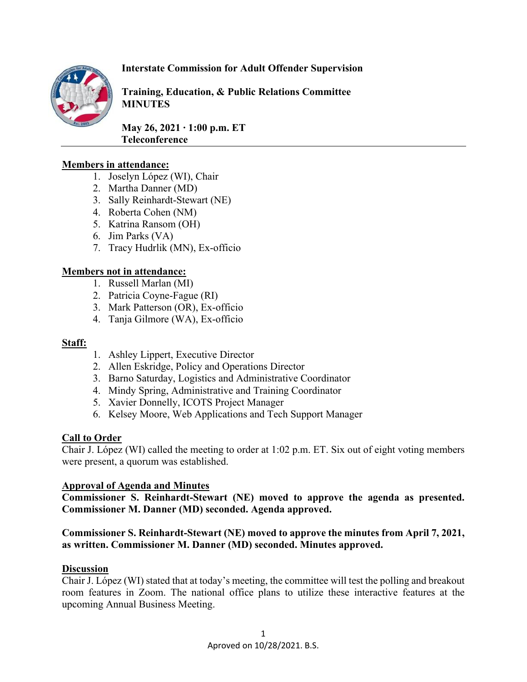

# **Interstate Commission for Adult Offender Supervision**

**Training, Education, & Public Relations Committee MINUTES**

**May 26, 2021 ∙ 1:00 p.m. ET Teleconference** 

### **Members in attendance:**

- 1. Joselyn López (WI), Chair
- 2. Martha Danner (MD)
- 3. Sally Reinhardt-Stewart (NE)
- 4. Roberta Cohen (NM)
- 5. Katrina Ransom (OH)
- 6. Jim Parks (VA)
- 7. Tracy Hudrlik (MN), Ex-officio

### **Members not in attendance:**

- 1. Russell Marlan (MI)
- 2. Patricia Coyne-Fague (RI)
- 3. Mark Patterson (OR), Ex-officio
- 4. Tanja Gilmore (WA), Ex-officio

#### **Staff:**

- 1. Ashley Lippert, Executive Director
- 2. Allen Eskridge, Policy and Operations Director
- 3. Barno Saturday, Logistics and Administrative Coordinator
- 4. Mindy Spring, Administrative and Training Coordinator
- 5. Xavier Donnelly, ICOTS Project Manager
- 6. Kelsey Moore, Web Applications and Tech Support Manager

### **Call to Order**

Chair J. López (WI) called the meeting to order at 1:02 p.m. ET. Six out of eight voting members were present, a quorum was established.

### **Approval of Agenda and Minutes**

**Commissioner S. Reinhardt-Stewart (NE) moved to approve the agenda as presented. Commissioner M. Danner (MD) seconded. Agenda approved.**

## **Commissioner S. Reinhardt-Stewart (NE) moved to approve the minutes from April 7, 2021, as written. Commissioner M. Danner (MD) seconded. Minutes approved.**

### **Discussion**

Chair J. López (WI) stated that at today's meeting, the committee will test the polling and breakout room features in Zoom. The national office plans to utilize these interactive features at the upcoming Annual Business Meeting.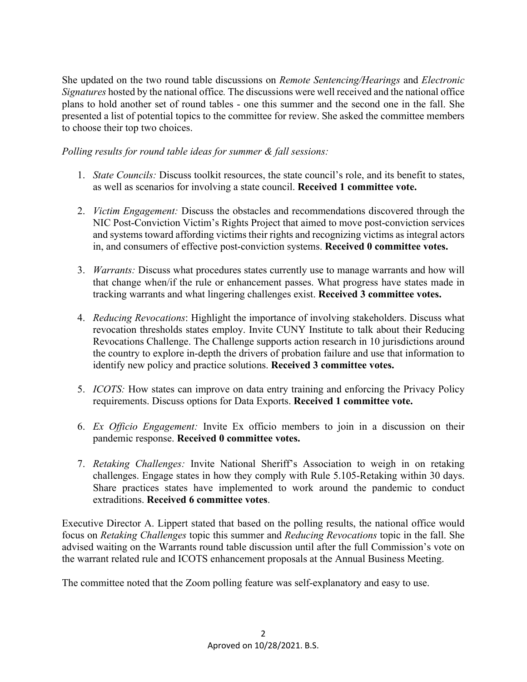She updated on the two round table discussions on *Remote Sentencing/Hearings* and *Electronic Signatures* hosted by the national office*.* The discussions were well received and the national office plans to hold another set of round tables - one this summer and the second one in the fall. She presented a list of potential topics to the committee for review. She asked the committee members to choose their top two choices.

*Polling results for round table ideas for summer & fall sessions:*

- 1. *State Councils:* Discuss toolkit resources, the state council's role, and its benefit to states, as well as scenarios for involving a state council. **Received 1 committee vote.**
- 2. *Victim Engagement:* Discuss the obstacles and recommendations discovered through the NIC Post-Conviction Victim's Rights Project that aimed to move post-conviction services and systems toward affording victims their rights and recognizing victims as integral actors in, and consumers of effective post-conviction systems. **Received 0 committee votes.**
- 3. *Warrants:* Discuss what procedures states currently use to manage warrants and how will that change when/if the rule or enhancement passes. What progress have states made in tracking warrants and what lingering challenges exist. **Received 3 committee votes.**
- 4. *Reducing Revocations*: Highlight the importance of involving stakeholders. Discuss what revocation thresholds states employ. Invite CUNY Institute to talk about their Reducing Revocations Challenge. The Challenge supports action research in 10 jurisdictions around the country to explore in-depth the drivers of probation failure and use that information to identify new policy and practice solutions. **Received 3 committee votes.**
- 5. *ICOTS:* How states can improve on data entry training and enforcing the Privacy Policy requirements. Discuss options for Data Exports. **Received 1 committee vote.**
- 6. *Ex Officio Engagement:* Invite Ex officio members to join in a discussion on their pandemic response. **Received 0 committee votes.**
- 7. *Retaking Challenges:* Invite National Sheriff's Association to weigh in on retaking challenges. Engage states in how they comply with Rule 5.105-Retaking within 30 days. Share practices states have implemented to work around the pandemic to conduct extraditions. **Received 6 committee votes**.

Executive Director A. Lippert stated that based on the polling results, the national office would focus on *Retaking Challenges* topic this summer and *Reducing Revocations* topic in the fall. She advised waiting on the Warrants round table discussion until after the full Commission's vote on the warrant related rule and ICOTS enhancement proposals at the Annual Business Meeting.

The committee noted that the Zoom polling feature was self-explanatory and easy to use.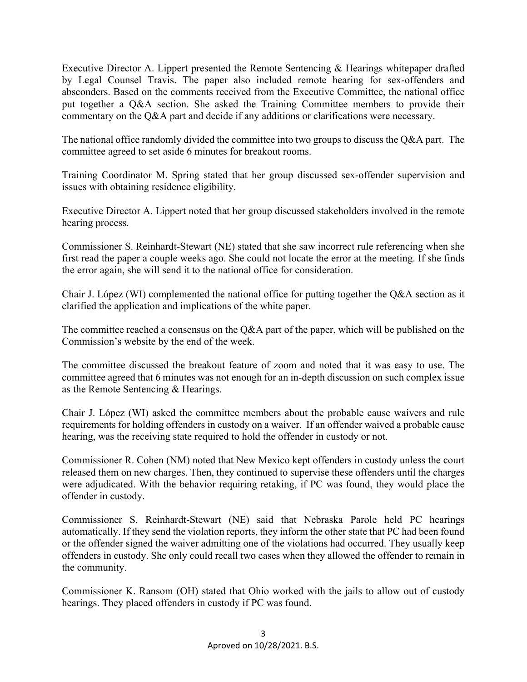Executive Director A. Lippert presented the Remote Sentencing & Hearings whitepaper drafted by Legal Counsel Travis. The paper also included remote hearing for sex-offenders and absconders. Based on the comments received from the Executive Committee, the national office put together a Q&A section. She asked the Training Committee members to provide their commentary on the Q&A part and decide if any additions or clarifications were necessary.

The national office randomly divided the committee into two groups to discuss the O&A part. The committee agreed to set aside 6 minutes for breakout rooms.

Training Coordinator M. Spring stated that her group discussed sex-offender supervision and issues with obtaining residence eligibility.

Executive Director A. Lippert noted that her group discussed stakeholders involved in the remote hearing process.

Commissioner S. Reinhardt-Stewart (NE) stated that she saw incorrect rule referencing when she first read the paper a couple weeks ago. She could not locate the error at the meeting. If she finds the error again, she will send it to the national office for consideration.

Chair J. López (WI) complemented the national office for putting together the Q&A section as it clarified the application and implications of the white paper.

The committee reached a consensus on the Q&A part of the paper, which will be published on the Commission's website by the end of the week.

The committee discussed the breakout feature of zoom and noted that it was easy to use. The committee agreed that 6 minutes was not enough for an in-depth discussion on such complex issue as the Remote Sentencing & Hearings.

Chair J. López (WI) asked the committee members about the probable cause waivers and rule requirements for holding offenders in custody on a waiver. If an offender waived a probable cause hearing, was the receiving state required to hold the offender in custody or not.

Commissioner R. Cohen (NM) noted that New Mexico kept offenders in custody unless the court released them on new charges. Then, they continued to supervise these offenders until the charges were adjudicated. With the behavior requiring retaking, if PC was found, they would place the offender in custody.

Commissioner S. Reinhardt-Stewart (NE) said that Nebraska Parole held PC hearings automatically. If they send the violation reports, they inform the other state that PC had been found or the offender signed the waiver admitting one of the violations had occurred. They usually keep offenders in custody. She only could recall two cases when they allowed the offender to remain in the community.

Commissioner K. Ransom (OH) stated that Ohio worked with the jails to allow out of custody hearings. They placed offenders in custody if PC was found.